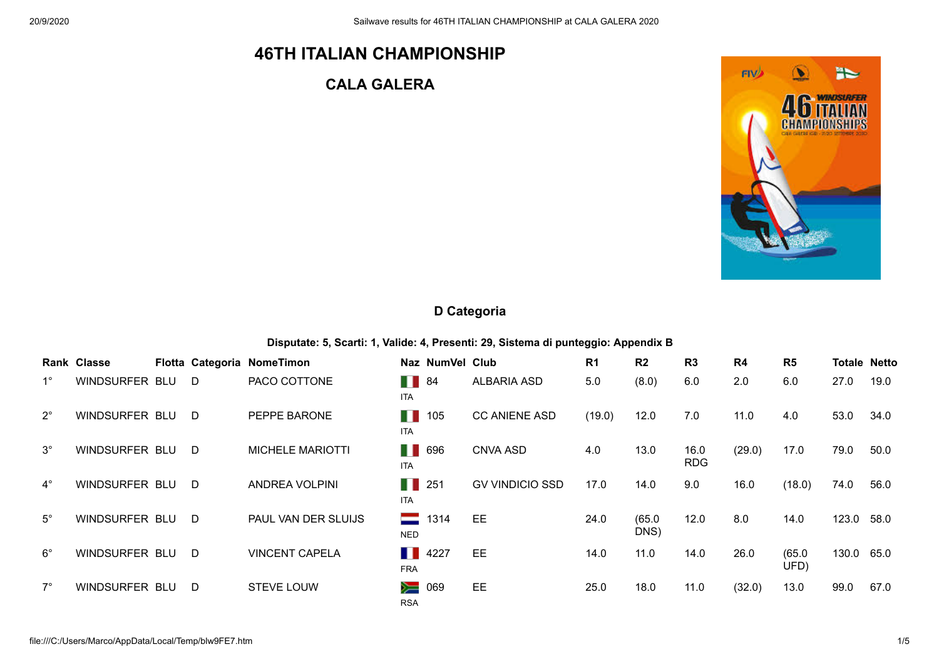# **46TH ITALIAN CHAMPIONSHIP**

## **CALA GALERA**



### **D Categoria**

**Disputate: 5, Scarti: 1, Valide: 4, Presenti: 29, Sistema di punteggio: Appendix B**

|             | Rank Classe    |     | Flotta Categoria NomeTimon |                              | Naz NumVel Club |                        | R <sub>1</sub> | R <sub>2</sub> | R <sub>3</sub>     | R4     | R <sub>5</sub> |       | <b>Totale Netto</b> |
|-------------|----------------|-----|----------------------------|------------------------------|-----------------|------------------------|----------------|----------------|--------------------|--------|----------------|-------|---------------------|
| $1^{\circ}$ | WINDSURFER BLU | - D | PACO COTTONE               | H.<br><b>ITA</b>             | 84              | <b>ALBARIA ASD</b>     | 5.0            | (8.0)          | 6.0                | 2.0    | 6.0            | 27.0  | 19.0                |
| $2^{\circ}$ | WINDSURFER BLU | D.  | PEPPE BARONE               | H<br><b>ITA</b>              | 105             | <b>CC ANIENE ASD</b>   | (19.0)         | 12.0           | 7.0                | 11.0   | 4.0            | 53.0  | 34.0                |
| $3^\circ$   | WINDSURFER BLU | D.  | <b>MICHELE MARIOTTI</b>    | H.<br><b>ITA</b>             | 696             | <b>CNVA ASD</b>        | 4.0            | 13.0           | 16.0<br><b>RDG</b> | (29.0) | 17.0           | 79.0  | 50.0                |
| $4^{\circ}$ | WINDSURFER BLU | D   | ANDREA VOLPINI             | H<br><b>ITA</b>              | 251             | <b>GV VINDICIO SSD</b> | 17.0           | 14.0           | 9.0                | 16.0   | (18.0)         | 74.0  | 56.0                |
| $5^\circ$   | WINDSURFER BLU | - D | PAUL VAN DER SLUIJS        | ᆖ<br><b>NED</b>              | 1314            | EE                     | 24.0           | (65.0)<br>DNS) | 12.0               | 8.0    | 14.0           | 123.0 | 58.0                |
| $6^{\circ}$ | WINDSURFER BLU | - D | <b>VINCENT CAPELA</b>      | $\blacksquare$<br><b>FRA</b> | 4227            | EE                     | 14.0           | 11.0           | 14.0               | 26.0   | (65.0)<br>UFD) | 130.0 | 65.0                |
| $7^\circ$   | WINDSURFER BLU | D   | <b>STEVE LOUW</b>          | ≽<br><b>RSA</b>              | 069             | EE                     | 25.0           | 18.0           | 11.0               | (32.0) | 13.0           | 99.0  | 67.0                |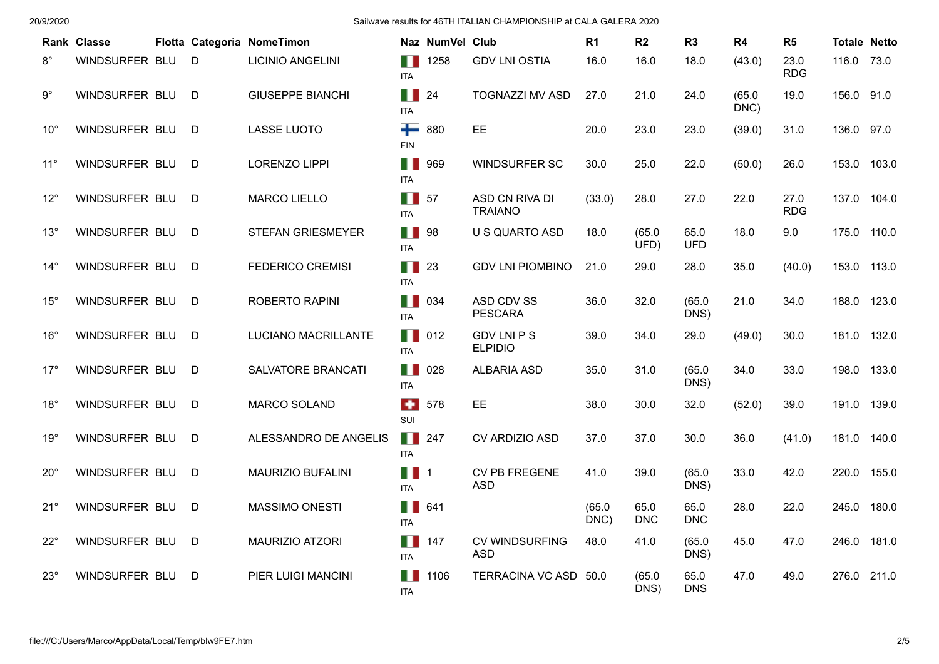|              | Rank Classe    |   | Flotta Categoria NomeTimon |                   | Naz NumVel Club |                                      | R <sub>1</sub> | R <sub>2</sub>     | R <sub>3</sub>     | R4             | R <sub>5</sub>     | <b>Totale Netto</b> |       |
|--------------|----------------|---|----------------------------|-------------------|-----------------|--------------------------------------|----------------|--------------------|--------------------|----------------|--------------------|---------------------|-------|
| $8^{\circ}$  | WINDSURFER BLU | D | <b>LICINIO ANGELINI</b>    | H<br><b>ITA</b>   | 1258            | <b>GDV LNI OSTIA</b>                 | 16.0           | 16.0               | 18.0               | (43.0)         | 23.0<br><b>RDG</b> | 116.0               | 73.0  |
| $9^{\circ}$  | WINDSURFER BLU | D | <b>GIUSEPPE BIANCHI</b>    | H<br><b>ITA</b>   | 24              | <b>TOGNAZZI MV ASD</b>               | 27.0           | 21.0               | 24.0               | (65.0)<br>DNC) | 19.0               | 156.0 91.0          |       |
| $10^{\circ}$ | WINDSURFER BLU | D | <b>LASSE LUOTO</b>         | ┿<br><b>FIN</b>   | 880             | <b>EE</b>                            | 20.0           | 23.0               | 23.0               | (39.0)         | 31.0               | 136.0               | 97.0  |
| $11^{\circ}$ | WINDSURFER BLU | D | <b>LORENZO LIPPI</b>       | H<br><b>ITA</b>   | 969             | <b>WINDSURFER SC</b>                 | 30.0           | 25.0               | 22.0               | (50.0)         | 26.0               | 153.0 103.0         |       |
| $12^{\circ}$ | WINDSURFER BLU | D | <b>MARCO LIELLO</b>        | H<br><b>ITA</b>   | 57              | ASD CN RIVA DI<br><b>TRAIANO</b>     | (33.0)         | 28.0               | 27.0               | 22.0           | 27.0<br><b>RDG</b> | 137.0               | 104.0 |
| $13^\circ$   | WINDSURFER BLU | D | <b>STEFAN GRIESMEYER</b>   | H I<br><b>ITA</b> | 98              | U S QUARTO ASD                       | 18.0           | (65.0)<br>UFD)     | 65.0<br><b>UFD</b> | 18.0           | 9.0                | 175.0               | 110.0 |
| $14^{\circ}$ | WINDSURFER BLU | D | <b>FEDERICO CREMISI</b>    | Ш<br><b>ITA</b>   | 23              | <b>GDV LNI PIOMBINO</b>              | 21.0           | 29.0               | 28.0               | 35.0           | (40.0)             | 153.0               | 113.0 |
| $15^{\circ}$ | WINDSURFER BLU | D | ROBERTO RAPINI             | H.<br><b>ITA</b>  | 034             | ASD CDV SS<br><b>PESCARA</b>         | 36.0           | 32.0               | (65.0)<br>DNS)     | 21.0           | 34.0               | 188.0               | 123.0 |
| $16^{\circ}$ | WINDSURFER BLU | D | LUCIANO MACRILLANTE        | H<br><b>ITA</b>   | 012             | <b>GDV LNI P S</b><br><b>ELPIDIO</b> | 39.0           | 34.0               | 29.0               | (49.0)         | 30.0               | 181.0               | 132.0 |
| $17^{\circ}$ | WINDSURFER BLU | D | SALVATORE BRANCATI         | H<br><b>ITA</b>   | 028             | <b>ALBARIA ASD</b>                   | 35.0           | 31.0               | (65.0)<br>DNS)     | 34.0           | 33.0               | 198.0               | 133.0 |
| $18^\circ$   | WINDSURFER BLU | D | <b>MARCO SOLAND</b>        | $\bullet$<br>SUI  | 578             | <b>EE</b>                            | 38.0           | 30.0               | 32.0               | (52.0)         | 39.0               | 191.0               | 139.0 |
| 19°          | WINDSURFER BLU | D | ALESSANDRO DE ANGELIS      | H<br><b>ITA</b>   | 247             | CV ARDIZIO ASD                       | 37.0           | 37.0               | 30.0               | 36.0           | (41.0)             | 181.0               | 140.0 |
| $20^{\circ}$ | WINDSURFER BLU | D | <b>MAURIZIO BUFALINI</b>   | H<br><b>ITA</b>   | $\overline{1}$  | CV PB FREGENE<br><b>ASD</b>          | 41.0           | 39.0               | (65.0)<br>DNS)     | 33.0           | 42.0               | 220.0               | 155.0 |
| $21^{\circ}$ | WINDSURFER BLU | D | <b>MASSIMO ONESTI</b>      | H<br><b>ITA</b>   | 641             |                                      | (65.0)<br>DNC) | 65.0<br><b>DNC</b> | 65.0<br><b>DNC</b> | 28.0           | 22.0               | 245.0               | 180.0 |
| $22^{\circ}$ | WINDSURFER BLU | D | MAURIZIO ATZORI            | H<br><b>ITA</b>   | 147             | <b>CV WINDSURFING</b><br><b>ASD</b>  | 48.0           | 41.0               | (65.0)<br>DNS)     | 45.0           | 47.0               | 246.0               | 181.0 |
| $23^\circ$   | WINDSURFER BLU | D | PIER LUIGI MANCINI         | H<br>ITA          | 1106            | TERRACINA VC ASD 50.0                |                | (65.0)<br>DNS)     | 65.0<br><b>DNS</b> | 47.0           | 49.0               | 276.0               | 211.0 |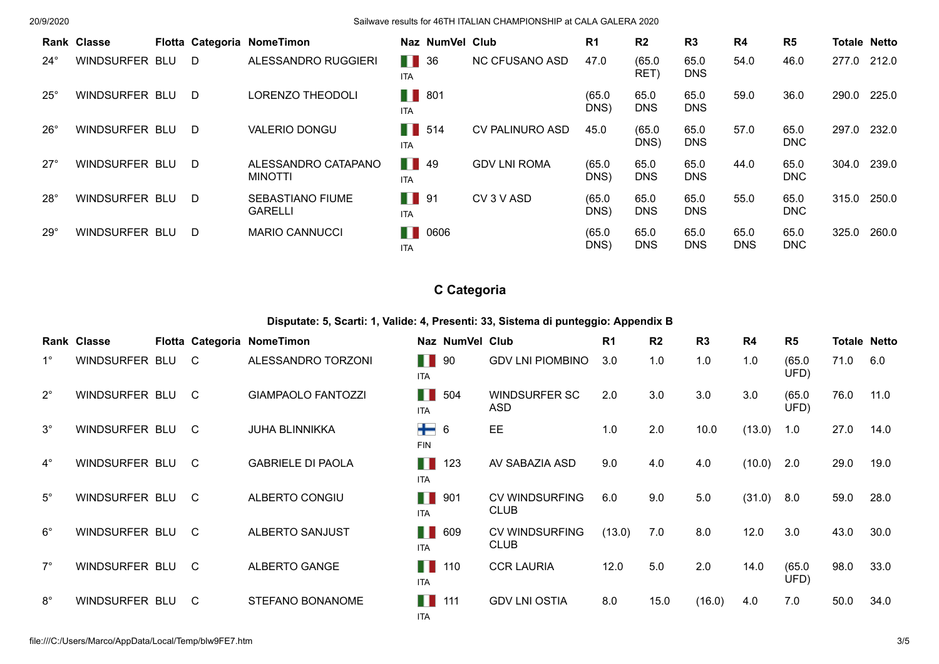|              | <b>Rank Classe</b>    |     | Flotta Categoria NomeTimon                |                                 | Naz NumVel Club |                        | R <sub>1</sub> | R <sub>2</sub>     | R <sub>3</sub>     | R4                 | R <sub>5</sub>     | <b>Totale Netto</b> |       |
|--------------|-----------------------|-----|-------------------------------------------|---------------------------------|-----------------|------------------------|----------------|--------------------|--------------------|--------------------|--------------------|---------------------|-------|
| $24^\circ$   | WINDSURFER BLU        | D   | ALESSANDRO RUGGIERI                       | Ш<br><b>ITA</b>                 | 36              | <b>NC CFUSANO ASD</b>  | 47.0           | (65.0)<br>RET)     | 65.0<br><b>DNS</b> | 54.0               | 46.0               | 277.0 212.0         |       |
| $25^{\circ}$ | WINDSURFER BLU        | D   | <b>LORENZO THEODOLI</b>                   | H<br><b>ITA</b>                 | 801             |                        | (65.0)<br>DNS) | 65.0<br><b>DNS</b> | 65.0<br><b>DNS</b> | 59.0               | 36.0               | 290.0 225.0         |       |
| $26^\circ$   | <b>WINDSURFER BLU</b> | - D | <b>VALERIO DONGU</b>                      | M<br><b>ITA</b>                 | 514             | <b>CV PALINURO ASD</b> | 45.0           | (65.0)<br>DNS)     | 65.0<br><b>DNS</b> | 57.0               | 65.0<br><b>DNC</b> | 297.0               | 232.0 |
| $27^\circ$   | WINDSURFER BLU        | D   | ALESSANDRO CATAPANO<br><b>MINOTTI</b>     | $\blacksquare$ 49<br><b>ITA</b> |                 | <b>GDV LNI ROMA</b>    | (65.0)<br>DNS) | 65.0<br><b>DNS</b> | 65.0<br><b>DNS</b> | 44.0               | 65.0<br><b>DNC</b> | 304.0               | 239.0 |
| $28^\circ$   | WINDSURFER BLU        | D   | <b>SEBASTIANO FIUME</b><br><b>GARELLI</b> | M<br><b>ITA</b>                 | 91              | CV 3 V ASD             | (65.0)<br>DNS) | 65.0<br><b>DNS</b> | 65.0<br><b>DNS</b> | 55.0               | 65.0<br><b>DNC</b> | 315.0               | 250.0 |
| $29^\circ$   | WINDSURFER BLU        | D   | <b>MARIO CANNUCCI</b>                     | H<br><b>ITA</b>                 | 0606            |                        | (65.0)<br>DNS) | 65.0<br><b>DNS</b> | 65.0<br><b>DNS</b> | 65.0<br><b>DNS</b> | 65.0<br><b>DNC</b> | 325.0               | 260.0 |

## **C Categoria**

**Disputate: 5, Scarti: 1, Valide: 4, Presenti: 33, Sistema di punteggio: Appendix B**

|             | Rank Classe    |                | Flotta Categoria NomeTimon |                     | Naz NumVel Club |                                      | R <sub>1</sub> | R <sub>2</sub> | R <sub>3</sub> | R <sub>4</sub> | R <sub>5</sub> | <b>Totale Netto</b> |      |
|-------------|----------------|----------------|----------------------------|---------------------|-----------------|--------------------------------------|----------------|----------------|----------------|----------------|----------------|---------------------|------|
| $1^{\circ}$ | WINDSURFER BLU | $\mathsf{C}$   | ALESSANDRO TORZONI         | П<br><b>ITA</b>     | 90              | <b>GDV LNI PIOMBINO</b>              | 3.0            | 1.0            | 1.0            | 1.0            | (65.0)<br>UFD) | 71.0                | 6.0  |
| $2^{\circ}$ | WINDSURFER BLU | $\overline{C}$ | <b>GIAMPAOLO FANTOZZI</b>  | H<br><b>ITA</b>     | 504             | WINDSURFER SC<br>ASD                 | 2.0            | 3.0            | 3.0            | 3.0            | (65.0)<br>UFD) | 76.0                | 11.0 |
| $3^\circ$   | WINDSURFER BLU | C.             | <b>JUHA BLINNIKKA</b>      | $+ 6$<br><b>FIN</b> |                 | EE                                   | 1.0            | 2.0            | 10.0           | (13.0)         | 1.0            | 27.0                | 14.0 |
| $4^\circ$   | WINDSURFER BLU | $\overline{C}$ | <b>GABRIELE DI PAOLA</b>   | H<br><b>ITA</b>     | 123             | AV SABAZIA ASD                       | 9.0            | 4.0            | 4.0            | (10.0)         | 2.0            | 29.0                | 19.0 |
| $5^\circ$   | WINDSURFER BLU | - C            | ALBERTO CONGIU             | H<br><b>ITA</b>     | 901             | <b>CV WINDSURFING</b><br><b>CLUB</b> | 6.0            | 9.0            | 5.0            | (31.0)         | 8.0            | 59.0                | 28.0 |
| $6^{\circ}$ | WINDSURFER BLU | C.             | ALBERTO SANJUST            | H<br><b>ITA</b>     | 609             | <b>CV WINDSURFING</b><br><b>CLUB</b> | (13.0)         | 7.0            | 8.0            | 12.0           | 3.0            | 43.0                | 30.0 |
| $7^\circ$   | WINDSURFER BLU | C.             | ALBERTO GANGE              | M<br><b>ITA</b>     | 110             | <b>CCR LAURIA</b>                    | 12.0           | 5.0            | 2.0            | 14.0           | (65.0)<br>UFD) | 98.0                | 33.0 |
| $8^{\circ}$ | WINDSURFER BLU | C.             | STEFANO BONANOME           | Ш<br><b>ITA</b>     | 111             | <b>GDV LNI OSTIA</b>                 | 8.0            | 15.0           | (16.0)         | 4.0            | 7.0            | 50.0                | 34.0 |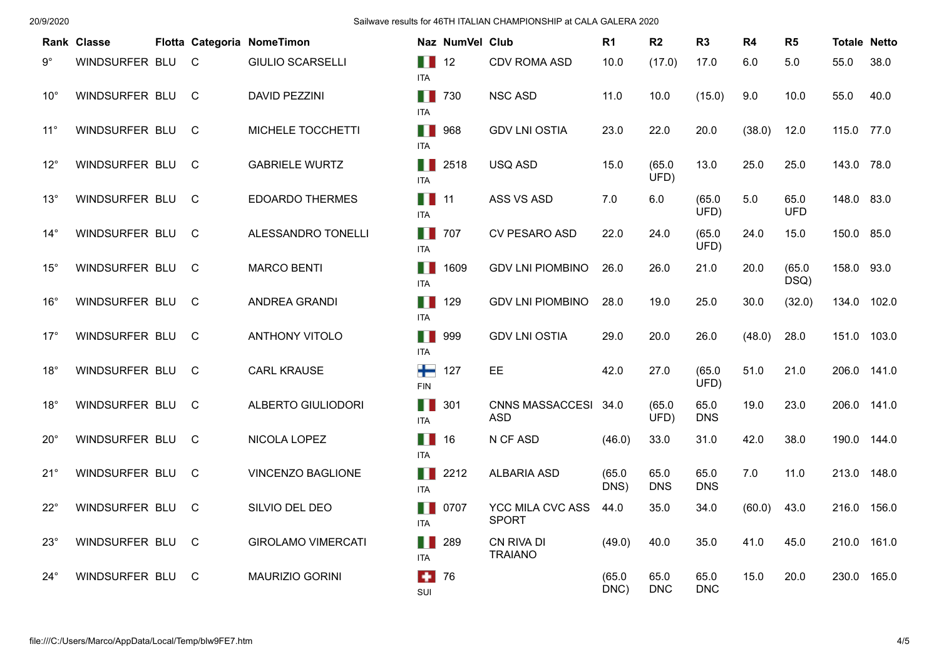|              | Rank Classe    |              | Flotta Categoria NomeTimon |                                  | Naz NumVel Club     |                                         | R <sub>1</sub> | R <sub>2</sub>     | R <sub>3</sub>     | <b>R4</b> | R5                 | <b>Totale Netto</b> |       |
|--------------|----------------|--------------|----------------------------|----------------------------------|---------------------|-----------------------------------------|----------------|--------------------|--------------------|-----------|--------------------|---------------------|-------|
| $9^{\circ}$  | WINDSURFER BLU | C.           | <b>GIULIO SCARSELLI</b>    | $\blacksquare$ 12<br><b>ITA</b>  |                     | CDV ROMA ASD                            | 10.0           | (17.0)             | 17.0               | 6.0       | 5.0                | 55.0                | 38.0  |
| $10^{\circ}$ | WINDSURFER BLU | C.           | <b>DAVID PEZZINI</b>       | $\blacksquare$ 730<br><b>ITA</b> |                     | <b>NSC ASD</b>                          | 11.0           | 10.0               | (15.0)             | 9.0       | 10.0               | 55.0                | 40.0  |
| $11^{\circ}$ | WINDSURFER BLU | C.           | MICHELE TOCCHETTI          | <b>TT</b> 968<br><b>ITA</b>      |                     | <b>GDV LNI OSTIA</b>                    | 23.0           | 22.0               | 20.0               | (38.0)    | 12.0               | 115.0               | 77.0  |
| $12^{\circ}$ | WINDSURFER BLU | C.           | <b>GABRIELE WURTZ</b>      | H H<br><b>ITA</b>                | 2518                | USQ ASD                                 | 15.0           | (65.0)<br>UFD)     | 13.0               | 25.0      | 25.0               | 143.0 78.0          |       |
| $13^\circ$   | WINDSURFER BLU | C.           | <b>EDOARDO THERMES</b>     | $\blacksquare$ 11<br><b>ITA</b>  |                     | ASS VS ASD                              | 7.0            | 6.0                | (65.0)<br>UFD)     | 5.0       | 65.0<br><b>UFD</b> | 148.0 83.0          |       |
| $14^{\circ}$ | WINDSURFER BLU | $\mathsf{C}$ | ALESSANDRO TONELLI         | H.<br><b>ITA</b>                 | 707                 | CV PESARO ASD                           | 22.0           | 24.0               | (65.0)<br>UFD)     | 24.0      | 15.0               | 150.0               | 85.0  |
| $15^{\circ}$ | WINDSURFER BLU | C.           | <b>MARCO BENTI</b>         | H.<br><b>ITA</b>                 | 1609                | <b>GDV LNI PIOMBINO</b>                 | 26.0           | 26.0               | 21.0               | 20.0      | (65.0)<br>DSQ)     | 158.0 93.0          |       |
| $16^{\circ}$ | WINDSURFER BLU | C.           | ANDREA GRANDI              | H.<br><b>ITA</b>                 | 129                 | <b>GDV LNI PIOMBINO</b>                 | 28.0           | 19.0               | 25.0               | 30.0      | (32.0)             | 134.0               | 102.0 |
| $17^\circ$   | WINDSURFER BLU | C.           | <b>ANTHONY VITOLO</b>      | n n<br><b>ITA</b>                | 999                 | <b>GDV LNI OSTIA</b>                    | 29.0           | 20.0               | 26.0               | (48.0)    | 28.0               | 151.0               | 103.0 |
| $18^\circ$   | WINDSURFER BLU | C.           | <b>CARL KRAUSE</b>         | ╈<br><b>FIN</b>                  | 127                 | EE                                      | 42.0           | 27.0               | (65.0)<br>UFD)     | 51.0      | 21.0               | 206.0               | 141.0 |
| $18^\circ$   | WINDSURFER BLU | C.           | ALBERTO GIULIODORI         | $\blacksquare$ 301<br><b>ITA</b> |                     | CNNS MASSACCESI 34.0<br><b>ASD</b>      |                | (65.0)<br>UFD)     | 65.0<br><b>DNS</b> | 19.0      | 23.0               | 206.0               | 141.0 |
| $20^{\circ}$ | WINDSURFER BLU | C            | NICOLA LOPEZ               | $\blacksquare$ 16<br><b>ITA</b>  |                     | N CF ASD                                | (46.0)         | 33.0               | 31.0               | 42.0      | 38.0               | 190.0               | 144.0 |
| $21^{\circ}$ | WINDSURFER BLU | C            | <b>VINCENZO BAGLIONE</b>   | <b>ITA</b>                       | $\blacksquare$ 2212 | <b>ALBARIA ASD</b>                      | (65.0)<br>DNS) | 65.0<br><b>DNS</b> | 65.0<br><b>DNS</b> | 7.0       | 11.0               | 213.0               | 148.0 |
| $22^{\circ}$ | WINDSURFER BLU | C            | SILVIO DEL DEO             | H<br><b>ITA</b>                  | 0707                | <b>YCC MILA CVC ASS</b><br><b>SPORT</b> | 44.0           | 35.0               | 34.0               | (60.0)    | 43.0               | 216.0               | 156.0 |
| $23^\circ$   | WINDSURFER BLU | C            | <b>GIROLAMO VIMERCATI</b>  | H H<br><b>ITA</b>                | 289                 | CN RIVA DI<br><b>TRAIANO</b>            | (49.0)         | 40.0               | 35.0               | 41.0      | 45.0               | 210.0               | 161.0 |
| 24°          | WINDSURFER BLU | C            | <b>MAURIZIO GORINI</b>     | $\bullet$<br>SUI                 | 76                  |                                         | (65.0)<br>DNC) | 65.0<br><b>DNC</b> | 65.0<br><b>DNC</b> | 15.0      | 20.0               | 230.0               | 165.0 |